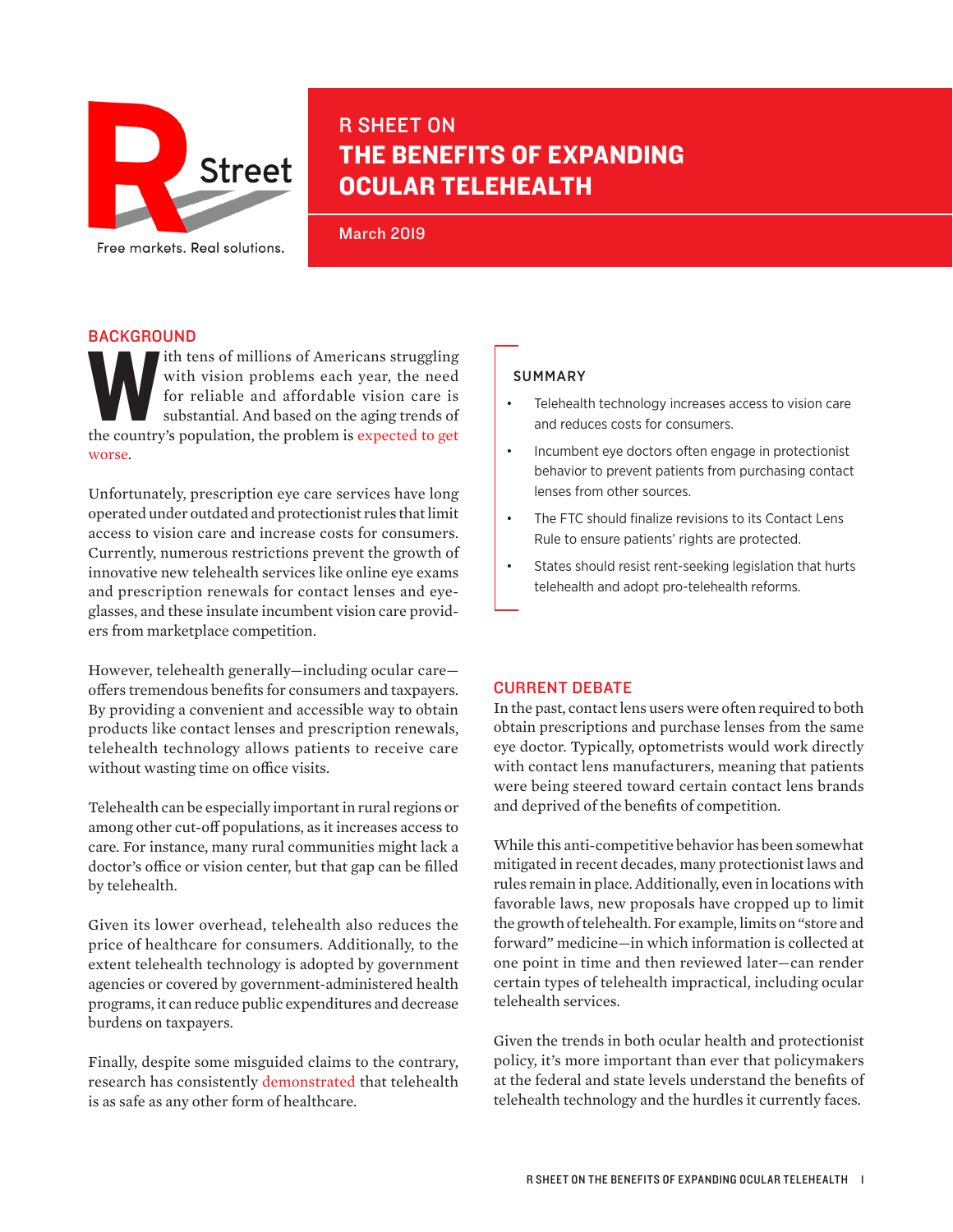

# R SHEET ON THE BENEFITS OF EXPANDING OCULAR TELEHEALTH

March 2019

## **BACKGROUND**

The tens of millions of Americans struggling<br>
with vision problems each year, the need<br>
for reliable and affordable vision care is<br>
substantial. And based on the aging trends of<br>
the country's population, the problem is ex with vision problems each year, the need for reliable and affordable vision care is substantial. And based on the aging trends of [worse](https://nei.nih.gov/eyedata/vision_impaired).

Unfortunately, prescription eye care services have long operated under outdated and protectionist rules that limit access to vision care and increase costs for consumers. Currently, numerous restrictions prevent the growth of innovative new telehealth services like online eye exams and prescription renewals for contact lenses and eyeglasses, and these insulate incumbent vision care providers from marketplace competition.

However, telehealth generally—including ocular care offers tremendous benefits for consumers and taxpayers. By providing a convenient and accessible way to obtain products like contact lenses and prescription renewals, telehealth technology allows patients to receive care without wasting time on office visits.

Telehealth can be especially important in rural regions or among other cut-off populations, as it increases access to care. For instance, many rural communities might lack a doctor's office or vision center, but that gap can be filled by telehealth.

Given its lower overhead, telehealth also reduces the price of healthcare for consumers. Additionally, to the extent telehealth technology is adopted by government agencies or covered by government-administered health programs, it can reduce public expenditures and decrease burdens on taxpayers.

Finally, despite some misguided claims to the contrary, research has consistently [demonstrated](https://2o9ub0417chl2lg6m43em6psi2i-wpengine.netdna-ssl.com/wp-content/uploads/2017/01/80.pdf) that telehealth is as safe as any other form of healthcare.

## SUMMARY

- Telehealth technology increases access to vision care and reduces costs for consumers.
- Incumbent eye doctors often engage in protectionist behavior to prevent patients from purchasing contact lenses from other sources.
- The FTC should finalize revisions to its Contact Lens Rule to ensure patients' rights are protected.
- States should resist rent-seeking legislation that hurts telehealth and adopt pro-telehealth reforms.

## CURRENT DEBATE

In the past, contact lens users were often required to both obtain prescriptions and purchase lenses from the same eye doctor. Typically, optometrists would work directly with contact lens manufacturers, meaning that patients were being steered toward certain contact lens brands and deprived of the benefits of competition.

While this anti-competitive behavior has been somewhat mitigated in recent decades, many protectionist laws and rules remain in place. Additionally, even in locations with favorable laws, new proposals have cropped up to limit the growth of telehealth. For example, limits on "store and forward" medicine—in which information is collected at one point in time and then reviewed later—can render certain types of telehealth impractical, including ocular telehealth services.

Given the trends in both ocular health and protectionist policy, it's more important than ever that policymakers at the federal and state levels understand the benefits of telehealth technology and the hurdles it currently faces.